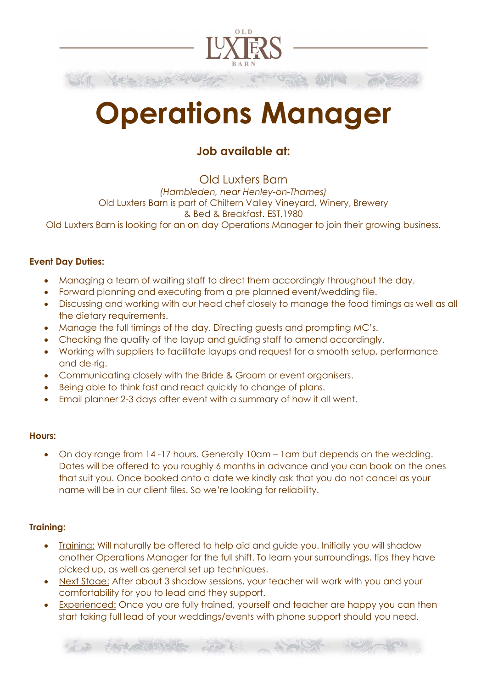

## Operations Manager

### Job available at:

Old Luxters Barn (Hambleden, near Henley-on-Thames) Old Luxters Barn is part of Chiltern Valley Vineyard, Winery, Brewery & Bed & Breakfast. EST.1980 Old Luxters Barn is looking for an on day Operations Manager to join their growing business.

#### Event Day Duties:

- Managing a team of waiting staff to direct them accordingly throughout the day.
- Forward planning and executing from a pre planned event/wedding file.
- Discussing and working with our head chef closely to manage the food timings as well as all the dietary requirements.
- Manage the full timings of the day. Directing guests and prompting MC's.
- Checking the quality of the layup and guiding staff to amend accordingly.
- Working with suppliers to facilitate layups and request for a smooth setup, performance and de-rig.
- Communicating closely with the Bride & Groom or event organisers.
- Being able to think fast and react quickly to change of plans.
- Email planner 2-3 days after event with a summary of how it all went.

#### Hours:

 On day range from 14 -17 hours. Generally 10am – 1am but depends on the wedding. Dates will be offered to you roughly 6 months in advance and you can book on the ones that suit you. Once booked onto a date we kindly ask that you do not cancel as your name will be in our client files. So we're looking for reliability.

#### Training:

- Training: Will naturally be offered to help aid and guide you. Initially you will shadow another Operations Manager for the full shift. To learn your surroundings, tips they have picked up, as well as general set up techniques.
- Next Stage: After about 3 shadow sessions, your teacher will work with you and your comfortability for you to lead and they support.
- Experienced: Once you are fully trained, yourself and teacher are happy you can then start taking full lead of your weddings/events with phone support should you need.